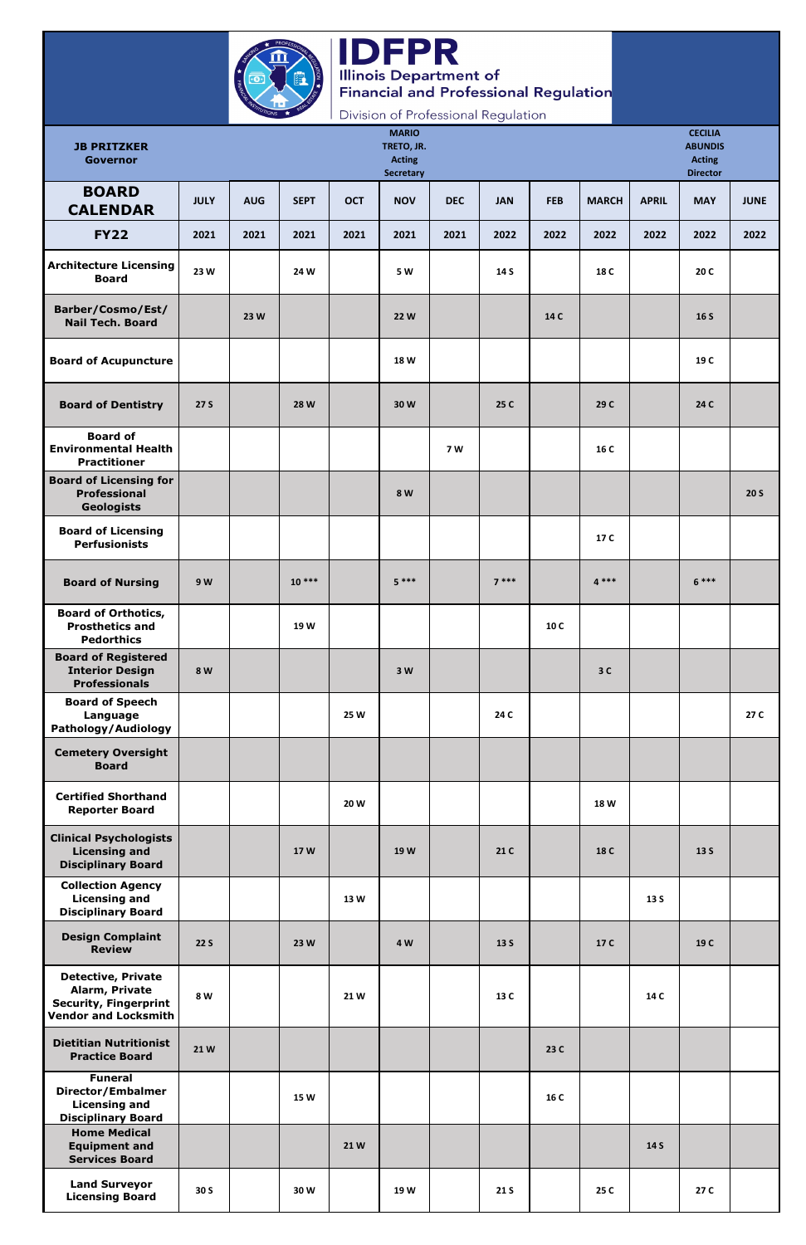

## IDFPR<br>Illinois Department of<br>Financial and Professional Regulation

Division of Professional Regulation

| <b>JB PRITZKER</b><br><b>Governor</b>                                                                      |             |            |             |            | <b>MARIO</b><br>TRETO, JR.<br><b>Acting</b><br><b>Secretary</b> |            |            |            |              |              | <b>CECILIA</b><br><b>ABUNDIS</b><br><b>Acting</b><br><b>Director</b> |             |
|------------------------------------------------------------------------------------------------------------|-------------|------------|-------------|------------|-----------------------------------------------------------------|------------|------------|------------|--------------|--------------|----------------------------------------------------------------------|-------------|
| <b>BOARD</b><br><b>CALENDAR</b>                                                                            | <b>JULY</b> | <b>AUG</b> | <b>SEPT</b> | <b>OCT</b> | <b>NOV</b>                                                      | <b>DEC</b> | <b>JAN</b> | <b>FEB</b> | <b>MARCH</b> | <b>APRIL</b> | <b>MAY</b>                                                           | <b>JUNE</b> |
| <b>FY22</b>                                                                                                | 2021        | 2021       | 2021        | 2021       | 2021                                                            | 2021       | 2022       | 2022       | 2022         | 2022         | 2022                                                                 | 2022        |
| <b>Architecture Licensing</b><br><b>Board</b>                                                              | 23 W        |            | 24 W        |            | 5 W                                                             |            | 14 S       |            | 18 C         |              | 20 C                                                                 |             |
| Barber/Cosmo/Est/<br><b>Nail Tech. Board</b>                                                               |             | 23 W       |             |            | <b>22W</b>                                                      |            |            | 14 C       |              |              | 16S                                                                  |             |
| <b>Board of Acupuncture</b>                                                                                |             |            |             |            | 18 W                                                            |            |            |            |              |              | 19 C                                                                 |             |
| <b>Board of Dentistry</b>                                                                                  | <b>27 S</b> |            | <b>28 W</b> |            | 30W                                                             |            | 25 C       |            | 29 C         |              | 24 C                                                                 |             |
| <b>Board of</b><br><b>Environmental Health</b><br><b>Practitioner</b>                                      |             |            |             |            |                                                                 | <b>7 W</b> |            |            | 16 C         |              |                                                                      |             |
| <b>Board of Licensing for</b><br><b>Professional</b><br><b>Geologists</b>                                  |             |            |             |            | 8 W                                                             |            |            |            |              |              |                                                                      | <b>20 S</b> |
| <b>Board of Licensing</b><br><b>Perfusionists</b>                                                          |             |            |             |            |                                                                 |            |            |            | 17 C         |              |                                                                      |             |
| <b>Board of Nursing</b>                                                                                    | 9 W         |            | $10***$     |            | $5***$                                                          |            | $7***$     |            | $4***$       |              | $6***$                                                               |             |
| <b>Board of Orthotics,</b><br><b>Prosthetics and</b><br><b>Pedorthics</b>                                  |             |            | 19 W        |            |                                                                 |            |            | 10 C       |              |              |                                                                      |             |
| <b>Board of Registered</b><br><b>Interior Design</b><br><b>Professionals</b>                               | 8 W         |            |             |            | 3W                                                              |            |            |            | 3C           |              |                                                                      |             |
| <b>Board of Speech</b><br>Language<br>Pathology/Audiology                                                  |             |            |             | 25 W       |                                                                 |            | 24 C       |            |              |              |                                                                      | 27 C        |
| <b>Cemetery Oversight</b><br><b>Board</b>                                                                  |             |            |             |            |                                                                 |            |            |            |              |              |                                                                      |             |
| <b>Certified Shorthand</b><br><b>Reporter Board</b>                                                        |             |            |             | 20W        |                                                                 |            |            |            | 18 W         |              |                                                                      |             |
| <b>Clinical Psychologists</b><br><b>Licensing and</b><br><b>Disciplinary Board</b>                         |             |            | 17 W        |            | 19 W                                                            |            | 21 C       |            | 18 C         |              | 13 S                                                                 |             |
| <b>Collection Agency</b><br><b>Licensing and</b><br><b>Disciplinary Board</b>                              |             |            |             | 13W        |                                                                 |            |            |            |              | 13 S         |                                                                      |             |
| <b>Design Complaint</b><br><b>Review</b>                                                                   | 22S         |            | 23 W        |            | 4 W                                                             |            | 13S        |            | 17 C         |              | 19 C                                                                 |             |
| <b>Detective, Private</b><br>Alarm, Private<br><b>Security, Fingerprint</b><br><b>Vendor and Locksmith</b> | 8 W         |            |             | 21W        |                                                                 |            | 13 C       |            |              | 14 C         |                                                                      |             |
| <b>Dietitian Nutritionist</b><br><b>Practice Board</b>                                                     | 21W         |            |             |            |                                                                 |            |            | 23 C       |              |              |                                                                      |             |
| <b>Funeral</b><br>Director/Embalmer<br><b>Licensing and</b><br><b>Disciplinary Board</b>                   |             |            | <b>15 W</b> |            |                                                                 |            |            | 16 C       |              |              |                                                                      |             |
| <b>Home Medical</b><br><b>Equipment and</b><br><b>Services Board</b>                                       |             |            |             | 21W        |                                                                 |            |            |            |              | 14 S         |                                                                      |             |
| <b>Land Surveyor</b><br><b>Licensing Board</b>                                                             | 30 S        |            | 30W         |            | 19W                                                             |            | 21 S       |            | 25 C         |              | 27 C                                                                 |             |